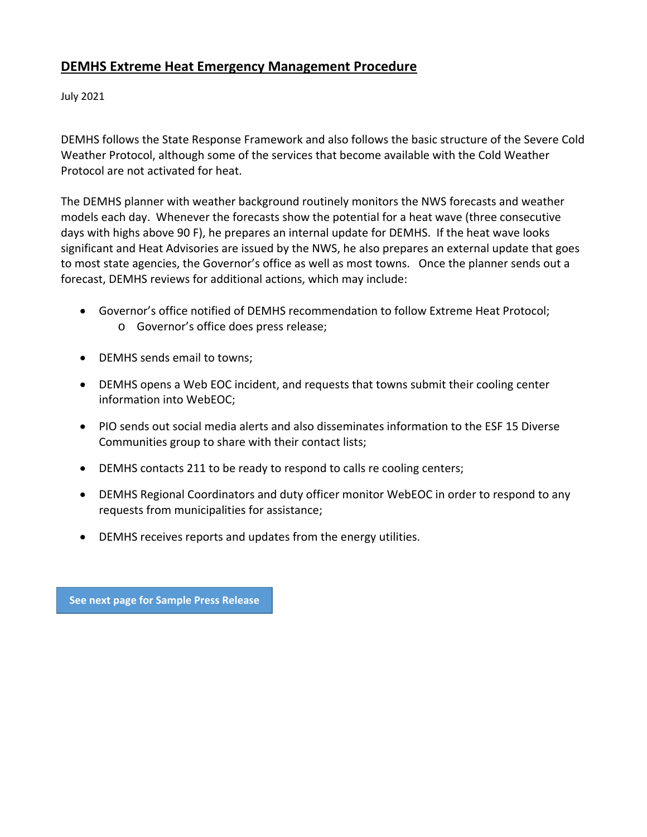# **DEMHS Extreme Heat Emergency Management Procedure**

July 2021

DEMHS follows the State Response Framework and also follows the basic structure of the Severe Cold Weather Protocol, although some of the services that become available with the Cold Weather Protocol are not activated for heat.

The DEMHS planner with weather background routinely monitors the NWS forecasts and weather models each day. Whenever the forecasts show the potential for a heat wave (three consecutive days with highs above 90 F), he prepares an internal update for DEMHS. If the heat wave looks significant and Heat Advisories are issued by the NWS, he also prepares an external update that goes to most state agencies, the Governor's office as well as most towns. Once the planner sends out a forecast, DEMHS reviews for additional actions, which may include:

- Governor's office notified of DEMHS recommendation to follow Extreme Heat Protocol; o Governor's office does press release;
- DEMHS sends email to towns;
- DEMHS opens a Web EOC incident, and requests that towns submit their cooling center information into WebEOC;
- PIO sends out social media alerts and also disseminates information to the ESF 15 Diverse Communities group to share with their contact lists;
- DEMHS contacts 211 to be ready to respond to calls re cooling centers;
- DEMHS Regional Coordinators and duty officer monitor WebEOC in order to respond to any requests from municipalities for assistance;
- DEMHS receives reports and updates from the energy utilities.

**See next page for Sample Press Release**